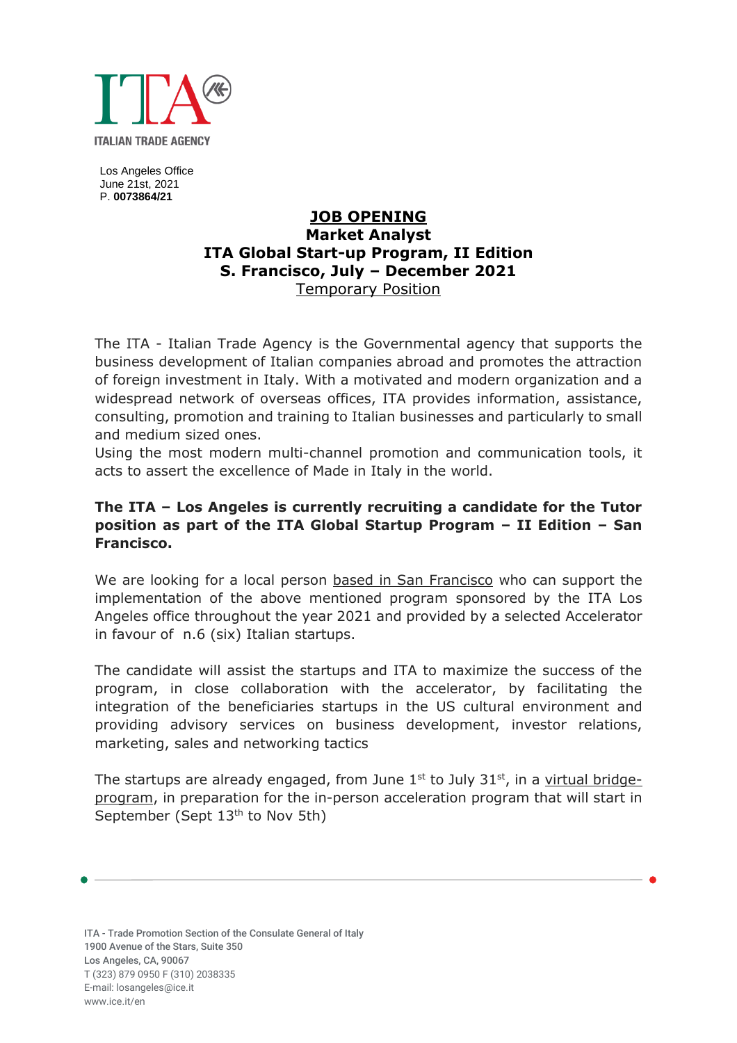

Los Angeles Office June 21st, 2021 P. **0073864/21**

# **JOB OPENING Market Analyst ITA Global Start-up Program, II Edition S. Francisco, July – December 2021** Temporary Position

The ITA - Italian Trade Agency is the Governmental agency that supports the business development of Italian companies abroad and promotes the attraction of foreign investment in Italy. With a motivated and modern organization and a widespread network of overseas offices, ITA provides information, assistance, consulting, promotion and training to Italian businesses and particularly to small and medium sized ones.

Using the most modern multi-channel promotion and communication tools, it acts to assert the excellence of Made in Italy in the world.

## **The ITA – Los Angeles is currently recruiting a candidate for the Tutor position as part of the ITA Global Startup Program – II Edition – San Francisco.**

We are looking for a local person based in San Francisco who can support the implementation of the above mentioned program sponsored by the ITA Los Angeles office throughout the year 2021 and provided by a selected Accelerator in favour of n.6 (six) Italian startups.

The candidate will assist the startups and ITA to maximize the success of the program, in close collaboration with the accelerator, by facilitating the integration of the beneficiaries startups in the US cultural environment and providing advisory services on business development, investor relations, marketing, sales and networking tactics

The startups are already engaged, from June  $1<sup>st</sup>$  to July  $31<sup>st</sup>$ , in a virtual bridgeprogram, in preparation for the in-person acceleration program that will start in September (Sept 13<sup>th</sup> to Nov 5th)

ITA - Trade Promotion Section of the Consulate General of Italy 1900 Avenue of the Stars, Suite 350 Los Angeles, CA, 90067 T (323) 879 0950 F (310) 2038335 E-mail: losangeles@ice.it [www.ice.it/](http://www.ice.it/)en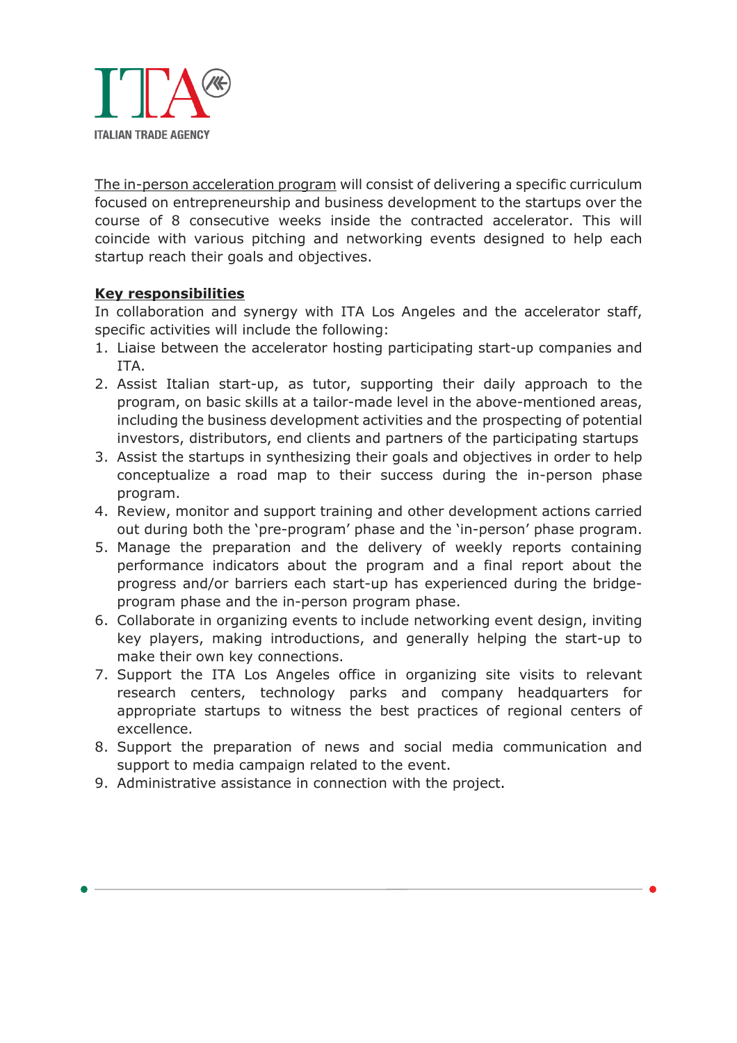

The in-person acceleration program will consist of delivering a specific curriculum focused on entrepreneurship and business development to the startups over the course of 8 consecutive weeks inside the contracted accelerator. This will coincide with various pitching and networking events designed to help each startup reach their goals and objectives.

### **Key responsibilities**

In collaboration and synergy with ITA Los Angeles and the accelerator staff, specific activities will include the following:

- 1. Liaise between the accelerator hosting participating start-up companies and ITA.
- 2. Assist Italian start-up, as tutor, supporting their daily approach to the program, on basic skills at a tailor-made level in the above-mentioned areas, including the business development activities and the prospecting of potential investors, distributors, end clients and partners of the participating startups
- 3. Assist the startups in synthesizing their goals and objectives in order to help conceptualize a road map to their success during the in-person phase program.
- 4. Review, monitor and support training and other development actions carried out during both the 'pre-program' phase and the 'in-person' phase program.
- 5. Manage the preparation and the delivery of weekly reports containing performance indicators about the program and a final report about the progress and/or barriers each start-up has experienced during the bridgeprogram phase and the in-person program phase.
- 6. Collaborate in organizing events to include networking event design, inviting key players, making introductions, and generally helping the start-up to make their own key connections.
- 7. Support the ITA Los Angeles office in organizing site visits to relevant research centers, technology parks and company headquarters for appropriate startups to witness the best practices of regional centers of excellence.
- 8. Support the preparation of news and social media communication and support to media campaign related to the event.
- 9. Administrative assistance in connection with the project.